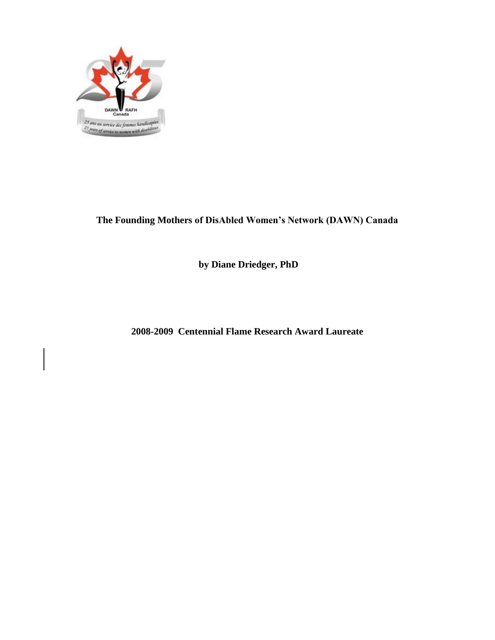

**The Founding Mothers of DisAbled Women's Network (DAWN) Canada**

**by Diane Driedger, PhD**

**2008-2009 Centennial Flame Research Award Laureate**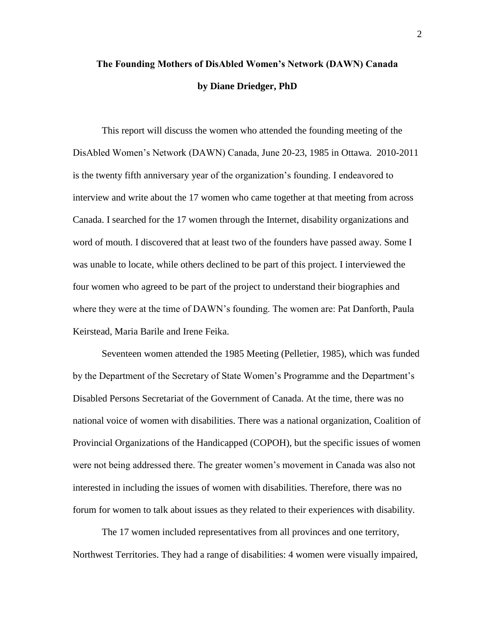# **The Founding Mothers of DisAbled Women's Network (DAWN) Canada by Diane Driedger, PhD**

This report will discuss the women who attended the founding meeting of the DisAbled Women's Network (DAWN) Canada, June 20-23, 1985 in Ottawa. 2010-2011 is the twenty fifth anniversary year of the organization's founding. I endeavored to interview and write about the 17 women who came together at that meeting from across Canada. I searched for the 17 women through the Internet, disability organizations and word of mouth. I discovered that at least two of the founders have passed away. Some I was unable to locate, while others declined to be part of this project. I interviewed the four women who agreed to be part of the project to understand their biographies and where they were at the time of DAWN's founding. The women are: Pat Danforth, Paula Keirstead, Maria Barile and Irene Feika.

Seventeen women attended the 1985 Meeting (Pelletier, 1985), which was funded by the Department of the Secretary of State Women's Programme and the Department's Disabled Persons Secretariat of the Government of Canada. At the time, there was no national voice of women with disabilities. There was a national organization, Coalition of Provincial Organizations of the Handicapped (COPOH), but the specific issues of women were not being addressed there. The greater women's movement in Canada was also not interested in including the issues of women with disabilities. Therefore, there was no forum for women to talk about issues as they related to their experiences with disability.

The 17 women included representatives from all provinces and one territory, Northwest Territories. They had a range of disabilities: 4 women were visually impaired,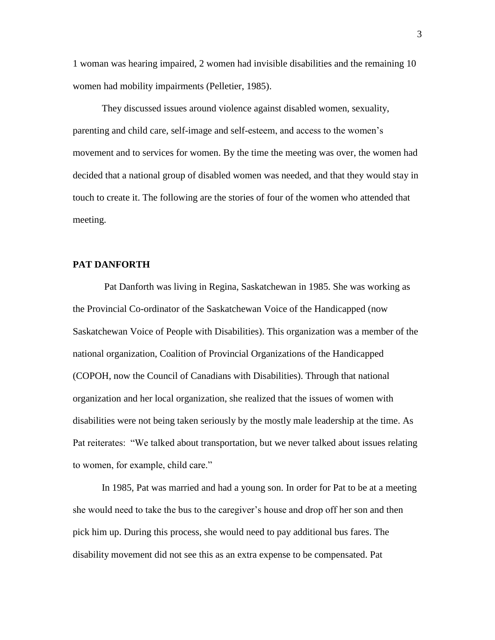1 woman was hearing impaired, 2 women had invisible disabilities and the remaining 10 women had mobility impairments (Pelletier, 1985).

They discussed issues around violence against disabled women, sexuality, parenting and child care, self-image and self-esteem, and access to the women's movement and to services for women. By the time the meeting was over, the women had decided that a national group of disabled women was needed, and that they would stay in touch to create it. The following are the stories of four of the women who attended that meeting.

#### **PAT DANFORTH**

Pat Danforth was living in Regina, Saskatchewan in 1985. She was working as the Provincial Co-ordinator of the Saskatchewan Voice of the Handicapped (now Saskatchewan Voice of People with Disabilities). This organization was a member of the national organization, Coalition of Provincial Organizations of the Handicapped (COPOH, now the Council of Canadians with Disabilities). Through that national organization and her local organization, she realized that the issues of women with disabilities were not being taken seriously by the mostly male leadership at the time. As Pat reiterates: "We talked about transportation, but we never talked about issues relating to women, for example, child care."

In 1985, Pat was married and had a young son. In order for Pat to be at a meeting she would need to take the bus to the caregiver's house and drop off her son and then pick him up. During this process, she would need to pay additional bus fares. The disability movement did not see this as an extra expense to be compensated. Pat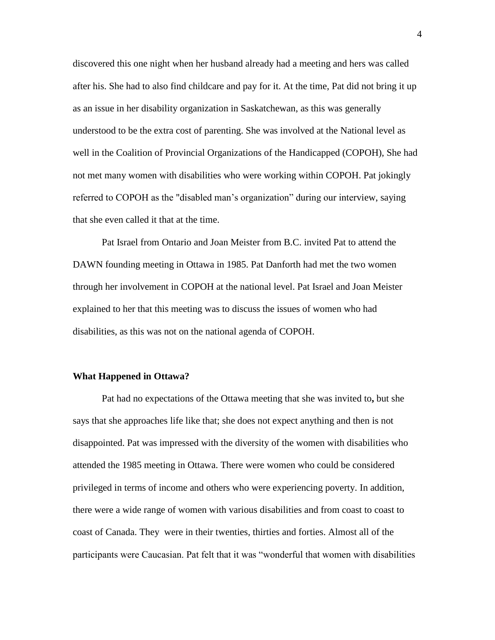discovered this one night when her husband already had a meeting and hers was called after his. She had to also find childcare and pay for it. At the time, Pat did not bring it up as an issue in her disability organization in Saskatchewan, as this was generally understood to be the extra cost of parenting. She was involved at the National level as well in the Coalition of Provincial Organizations of the Handicapped (COPOH), She had not met many women with disabilities who were working within COPOH. Pat jokingly referred to COPOH as the "disabled man's organization" during our interview, saying that she even called it that at the time.

Pat Israel from Ontario and Joan Meister from B.C. invited Pat to attend the DAWN founding meeting in Ottawa in 1985. Pat Danforth had met the two women through her involvement in COPOH at the national level. Pat Israel and Joan Meister explained to her that this meeting was to discuss the issues of women who had disabilities, as this was not on the national agenda of COPOH.

#### **What Happened in Ottawa?**

Pat had no expectations of the Ottawa meeting that she was invited to**,** but she says that she approaches life like that; she does not expect anything and then is not disappointed. Pat was impressed with the diversity of the women with disabilities who attended the 1985 meeting in Ottawa. There were women who could be considered privileged in terms of income and others who were experiencing poverty. In addition, there were a wide range of women with various disabilities and from coast to coast to coast of Canada. They were in their twenties, thirties and forties. Almost all of the participants were Caucasian. Pat felt that it was "wonderful that women with disabilities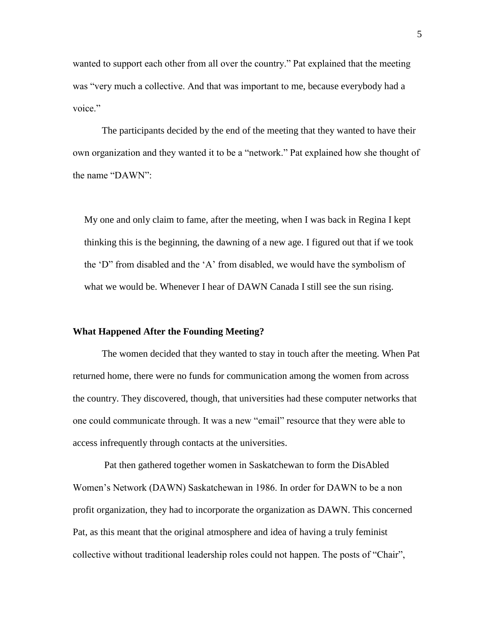wanted to support each other from all over the country." Pat explained that the meeting was "very much a collective. And that was important to me, because everybody had a voice."

The participants decided by the end of the meeting that they wanted to have their own organization and they wanted it to be a "network." Pat explained how she thought of the name "DAWN":

My one and only claim to fame, after the meeting, when I was back in Regina I kept thinking this is the beginning, the dawning of a new age. I figured out that if we took the 'D" from disabled and the 'A' from disabled, we would have the symbolism of what we would be. Whenever I hear of DAWN Canada I still see the sun rising.

#### **What Happened After the Founding Meeting?**

The women decided that they wanted to stay in touch after the meeting. When Pat returned home, there were no funds for communication among the women from across the country. They discovered, though, that universities had these computer networks that one could communicate through. It was a new "email" resource that they were able to access infrequently through contacts at the universities.

Pat then gathered together women in Saskatchewan to form the DisAbled Women's Network (DAWN) Saskatchewan in 1986. In order for DAWN to be a non profit organization, they had to incorporate the organization as DAWN. This concerned Pat, as this meant that the original atmosphere and idea of having a truly feminist collective without traditional leadership roles could not happen. The posts of "Chair",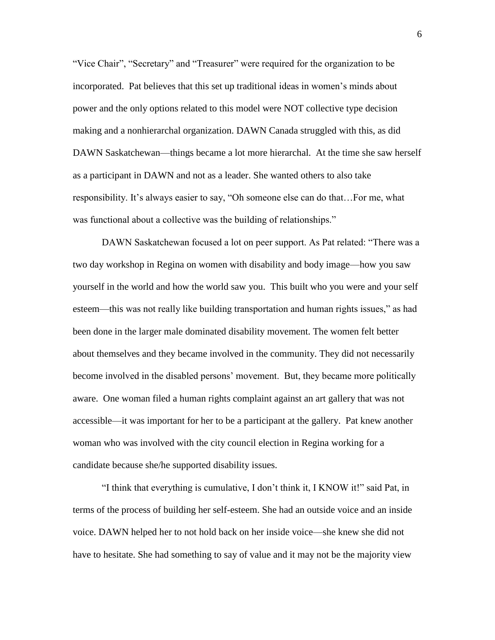"Vice Chair", "Secretary" and "Treasurer" were required for the organization to be incorporated. Pat believes that this set up traditional ideas in women's minds about power and the only options related to this model were NOT collective type decision making and a nonhierarchal organization. DAWN Canada struggled with this, as did DAWN Saskatchewan—things became a lot more hierarchal. At the time she saw herself as a participant in DAWN and not as a leader. She wanted others to also take responsibility. It's always easier to say, "Oh someone else can do that…For me, what was functional about a collective was the building of relationships."

DAWN Saskatchewan focused a lot on peer support. As Pat related: "There was a two day workshop in Regina on women with disability and body image—how you saw yourself in the world and how the world saw you. This built who you were and your self esteem—this was not really like building transportation and human rights issues," as had been done in the larger male dominated disability movement. The women felt better about themselves and they became involved in the community. They did not necessarily become involved in the disabled persons' movement. But, they became more politically aware. One woman filed a human rights complaint against an art gallery that was not accessible—it was important for her to be a participant at the gallery. Pat knew another woman who was involved with the city council election in Regina working for a candidate because she/he supported disability issues.

"I think that everything is cumulative, I don't think it, I KNOW it!" said Pat, in terms of the process of building her self-esteem. She had an outside voice and an inside voice. DAWN helped her to not hold back on her inside voice—she knew she did not have to hesitate. She had something to say of value and it may not be the majority view

6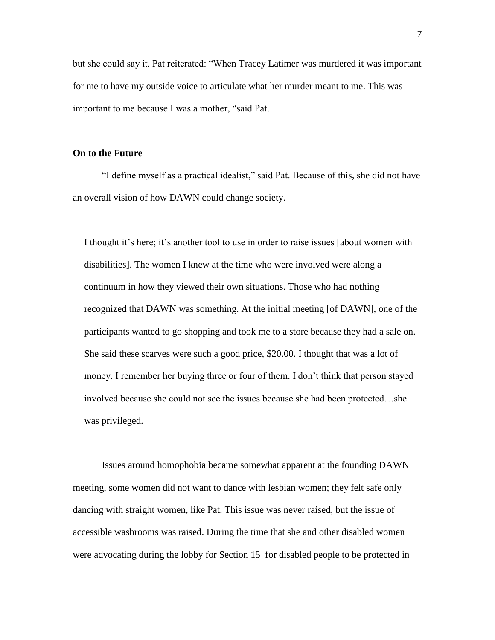but she could say it. Pat reiterated: "When Tracey Latimer was murdered it was important for me to have my outside voice to articulate what her murder meant to me. This was important to me because I was a mother, "said Pat.

#### **On to the Future**

"I define myself as a practical idealist," said Pat. Because of this, she did not have an overall vision of how DAWN could change society.

I thought it's here; it's another tool to use in order to raise issues [about women with disabilities]. The women I knew at the time who were involved were along a continuum in how they viewed their own situations. Those who had nothing recognized that DAWN was something. At the initial meeting [of DAWN], one of the participants wanted to go shopping and took me to a store because they had a sale on. She said these scarves were such a good price, \$20.00. I thought that was a lot of money. I remember her buying three or four of them. I don't think that person stayed involved because she could not see the issues because she had been protected…she was privileged.

Issues around homophobia became somewhat apparent at the founding DAWN meeting, some women did not want to dance with lesbian women; they felt safe only dancing with straight women, like Pat. This issue was never raised, but the issue of accessible washrooms was raised. During the time that she and other disabled women were advocating during the lobby for Section 15 for disabled people to be protected in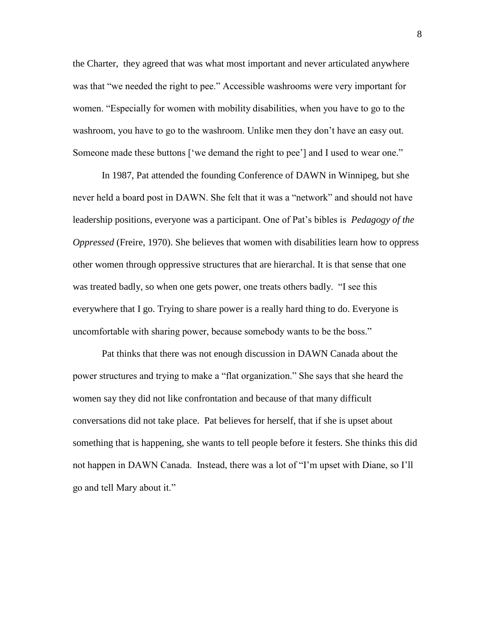the Charter, they agreed that was what most important and never articulated anywhere was that "we needed the right to pee." Accessible washrooms were very important for women. "Especially for women with mobility disabilities, when you have to go to the washroom, you have to go to the washroom. Unlike men they don't have an easy out. Someone made these buttons ['we demand the right to pee'] and I used to wear one."

In 1987, Pat attended the founding Conference of DAWN in Winnipeg, but she never held a board post in DAWN. She felt that it was a "network" and should not have leadership positions, everyone was a participant. One of Pat's bibles is *Pedagogy of the Oppressed* (Freire, 1970). She believes that women with disabilities learn how to oppress other women through oppressive structures that are hierarchal. It is that sense that one was treated badly, so when one gets power, one treats others badly. "I see this everywhere that I go. Trying to share power is a really hard thing to do. Everyone is uncomfortable with sharing power, because somebody wants to be the boss."

Pat thinks that there was not enough discussion in DAWN Canada about the power structures and trying to make a "flat organization." She says that she heard the women say they did not like confrontation and because of that many difficult conversations did not take place. Pat believes for herself, that if she is upset about something that is happening, she wants to tell people before it festers. She thinks this did not happen in DAWN Canada. Instead, there was a lot of "I'm upset with Diane, so I'll go and tell Mary about it."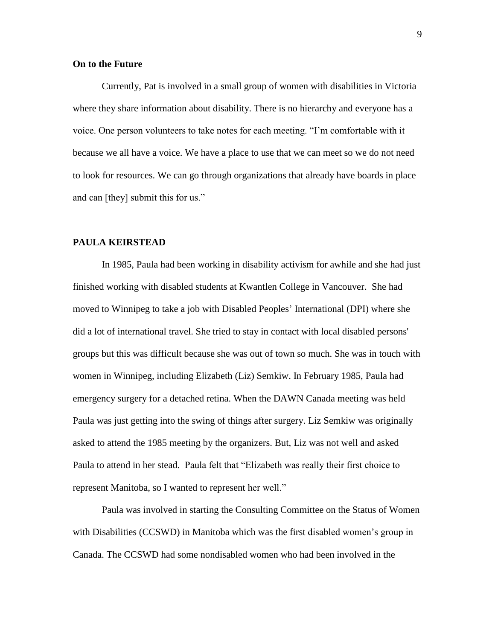#### **On to the Future**

Currently, Pat is involved in a small group of women with disabilities in Victoria where they share information about disability. There is no hierarchy and everyone has a voice. One person volunteers to take notes for each meeting. "I'm comfortable with it because we all have a voice. We have a place to use that we can meet so we do not need to look for resources. We can go through organizations that already have boards in place and can [they] submit this for us."

#### **PAULA KEIRSTEAD**

In 1985, Paula had been working in disability activism for awhile and she had just finished working with disabled students at Kwantlen College in Vancouver. She had moved to Winnipeg to take a job with Disabled Peoples' International (DPI) where she did a lot of international travel. She tried to stay in contact with local disabled persons' groups but this was difficult because she was out of town so much. She was in touch with women in Winnipeg, including Elizabeth (Liz) Semkiw. In February 1985, Paula had emergency surgery for a detached retina. When the DAWN Canada meeting was held Paula was just getting into the swing of things after surgery. Liz Semkiw was originally asked to attend the 1985 meeting by the organizers. But, Liz was not well and asked Paula to attend in her stead. Paula felt that "Elizabeth was really their first choice to represent Manitoba, so I wanted to represent her well."

Paula was involved in starting the Consulting Committee on the Status of Women with Disabilities (CCSWD) in Manitoba which was the first disabled women's group in Canada. The CCSWD had some nondisabled women who had been involved in the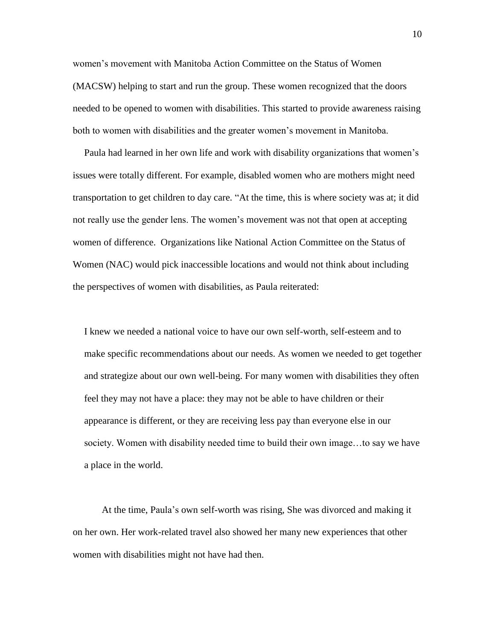women's movement with Manitoba Action Committee on the Status of Women (MACSW) helping to start and run the group. These women recognized that the doors needed to be opened to women with disabilities. This started to provide awareness raising both to women with disabilities and the greater women's movement in Manitoba.

Paula had learned in her own life and work with disability organizations that women's issues were totally different. For example, disabled women who are mothers might need transportation to get children to day care. "At the time, this is where society was at; it did not really use the gender lens. The women's movement was not that open at accepting women of difference. Organizations like National Action Committee on the Status of Women (NAC) would pick inaccessible locations and would not think about including the perspectives of women with disabilities, as Paula reiterated:

I knew we needed a national voice to have our own self-worth, self-esteem and to make specific recommendations about our needs. As women we needed to get together and strategize about our own well-being. For many women with disabilities they often feel they may not have a place: they may not be able to have children or their appearance is different, or they are receiving less pay than everyone else in our society. Women with disability needed time to build their own image…to say we have a place in the world.

At the time, Paula's own self-worth was rising, She was divorced and making it on her own. Her work-related travel also showed her many new experiences that other women with disabilities might not have had then.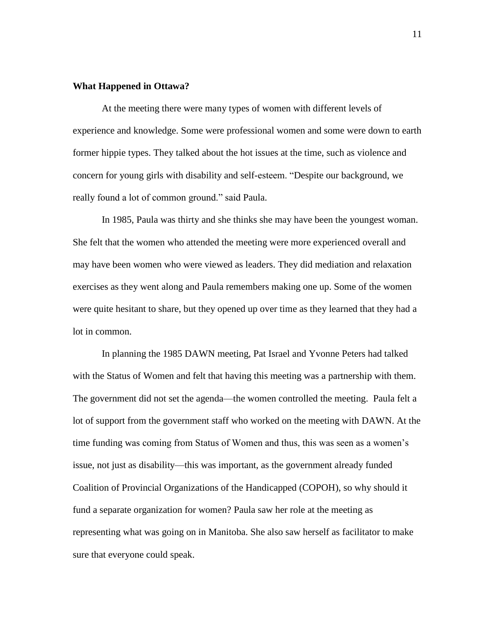#### **What Happened in Ottawa?**

At the meeting there were many types of women with different levels of experience and knowledge. Some were professional women and some were down to earth former hippie types. They talked about the hot issues at the time, such as violence and concern for young girls with disability and self-esteem. "Despite our background, we really found a lot of common ground." said Paula.

In 1985, Paula was thirty and she thinks she may have been the youngest woman. She felt that the women who attended the meeting were more experienced overall and may have been women who were viewed as leaders. They did mediation and relaxation exercises as they went along and Paula remembers making one up. Some of the women were quite hesitant to share, but they opened up over time as they learned that they had a lot in common.

In planning the 1985 DAWN meeting, Pat Israel and Yvonne Peters had talked with the Status of Women and felt that having this meeting was a partnership with them. The government did not set the agenda—the women controlled the meeting. Paula felt a lot of support from the government staff who worked on the meeting with DAWN. At the time funding was coming from Status of Women and thus, this was seen as a women's issue, not just as disability—this was important, as the government already funded Coalition of Provincial Organizations of the Handicapped (COPOH), so why should it fund a separate organization for women? Paula saw her role at the meeting as representing what was going on in Manitoba. She also saw herself as facilitator to make sure that everyone could speak.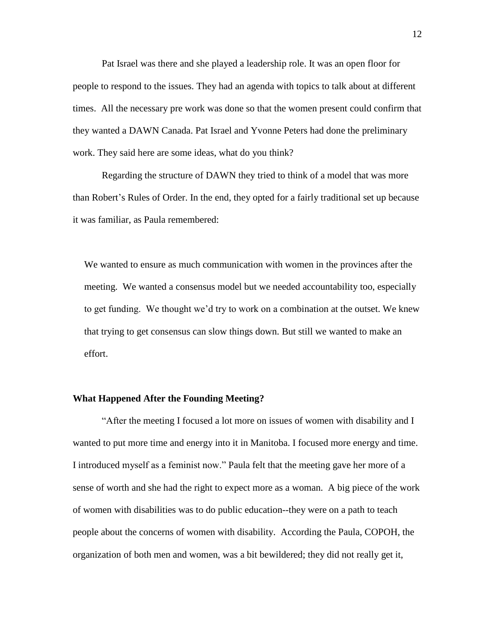Pat Israel was there and she played a leadership role. It was an open floor for people to respond to the issues. They had an agenda with topics to talk about at different times. All the necessary pre work was done so that the women present could confirm that they wanted a DAWN Canada. Pat Israel and Yvonne Peters had done the preliminary work. They said here are some ideas, what do you think?

Regarding the structure of DAWN they tried to think of a model that was more than Robert's Rules of Order. In the end, they opted for a fairly traditional set up because it was familiar, as Paula remembered:

We wanted to ensure as much communication with women in the provinces after the meeting. We wanted a consensus model but we needed accountability too, especially to get funding. We thought we'd try to work on a combination at the outset. We knew that trying to get consensus can slow things down. But still we wanted to make an effort.

### **What Happened After the Founding Meeting?**

"After the meeting I focused a lot more on issues of women with disability and I wanted to put more time and energy into it in Manitoba. I focused more energy and time. I introduced myself as a feminist now." Paula felt that the meeting gave her more of a sense of worth and she had the right to expect more as a woman. A big piece of the work of women with disabilities was to do public education--they were on a path to teach people about the concerns of women with disability. According the Paula, COPOH, the organization of both men and women, was a bit bewildered; they did not really get it,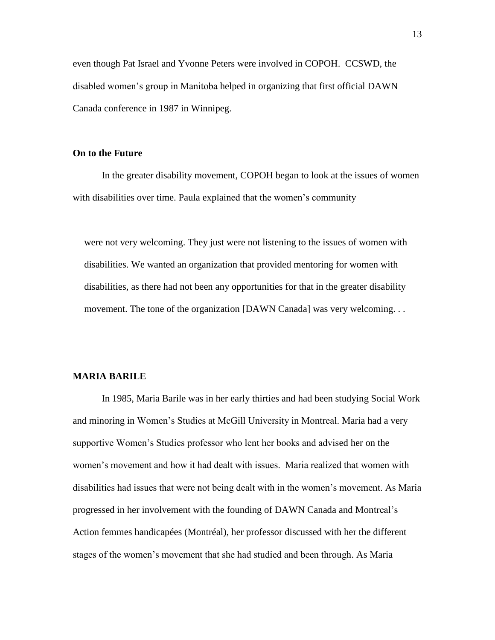even though Pat Israel and Yvonne Peters were involved in COPOH. CCSWD, the disabled women's group in Manitoba helped in organizing that first official DAWN Canada conference in 1987 in Winnipeg.

#### **On to the Future**

In the greater disability movement, COPOH began to look at the issues of women with disabilities over time. Paula explained that the women's community

were not very welcoming. They just were not listening to the issues of women with disabilities. We wanted an organization that provided mentoring for women with disabilities, as there had not been any opportunities for that in the greater disability movement. The tone of the organization [DAWN Canada] was very welcoming...

#### **MARIA BARILE**

In 1985, Maria Barile was in her early thirties and had been studying Social Work and minoring in Women's Studies at McGill University in Montreal. Maria had a very supportive Women's Studies professor who lent her books and advised her on the women's movement and how it had dealt with issues. Maria realized that women with disabilities had issues that were not being dealt with in the women's movement. As Maria progressed in her involvement with the founding of DAWN Canada and Montreal's Action femmes handicapées (Montréal), her professor discussed with her the different stages of the women's movement that she had studied and been through. As Maria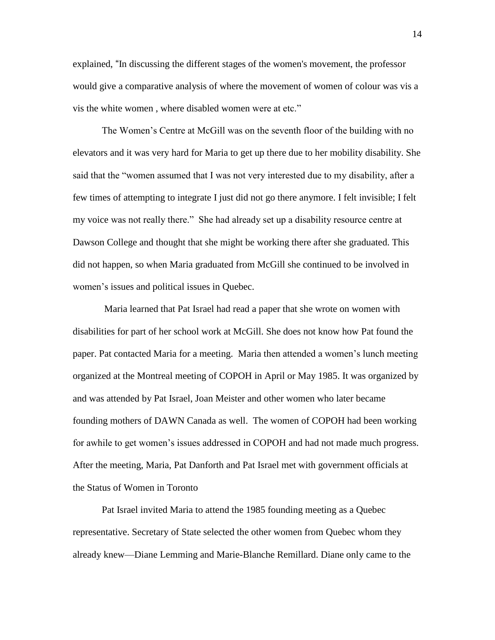explained, "In discussing the different stages of the women's movement, the professor would give a comparative analysis of where the movement of women of colour was vis a vis the white women , where disabled women were at etc."

The Women's Centre at McGill was on the seventh floor of the building with no elevators and it was very hard for Maria to get up there due to her mobility disability. She said that the "women assumed that I was not very interested due to my disability, after a few times of attempting to integrate I just did not go there anymore. I felt invisible; I felt my voice was not really there." She had already set up a disability resource centre at Dawson College and thought that she might be working there after she graduated. This did not happen, so when Maria graduated from McGill she continued to be involved in women's issues and political issues in Quebec.

Maria learned that Pat Israel had read a paper that she wrote on women with disabilities for part of her school work at McGill. She does not know how Pat found the paper. Pat contacted Maria for a meeting. Maria then attended a women's lunch meeting organized at the Montreal meeting of COPOH in April or May 1985. It was organized by and was attended by Pat Israel, Joan Meister and other women who later became founding mothers of DAWN Canada as well. The women of COPOH had been working for awhile to get women's issues addressed in COPOH and had not made much progress. After the meeting, Maria, Pat Danforth and Pat Israel met with government officials at the Status of Women in Toronto

Pat Israel invited Maria to attend the 1985 founding meeting as a Quebec representative. Secretary of State selected the other women from Quebec whom they already knew—Diane Lemming and Marie-Blanche Remillard. Diane only came to the

14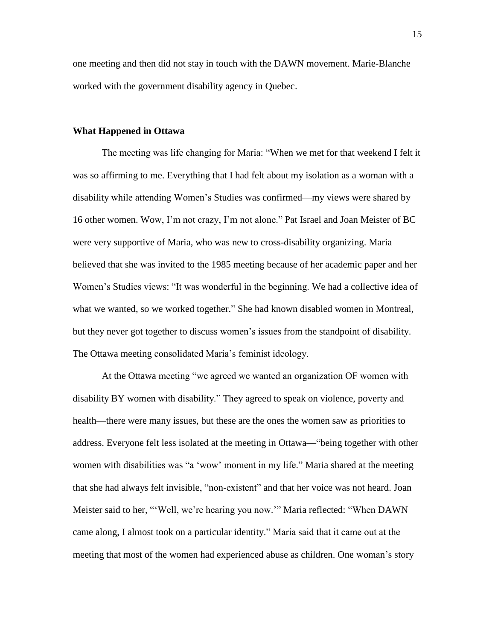one meeting and then did not stay in touch with the DAWN movement. Marie-Blanche worked with the government disability agency in Quebec.

#### **What Happened in Ottawa**

The meeting was life changing for Maria: "When we met for that weekend I felt it was so affirming to me. Everything that I had felt about my isolation as a woman with a disability while attending Women's Studies was confirmed—my views were shared by 16 other women. Wow, I'm not crazy, I'm not alone." Pat Israel and Joan Meister of BC were very supportive of Maria, who was new to cross-disability organizing. Maria believed that she was invited to the 1985 meeting because of her academic paper and her Women's Studies views: "It was wonderful in the beginning. We had a collective idea of what we wanted, so we worked together." She had known disabled women in Montreal, but they never got together to discuss women's issues from the standpoint of disability. The Ottawa meeting consolidated Maria's feminist ideology.

At the Ottawa meeting "we agreed we wanted an organization OF women with disability BY women with disability." They agreed to speak on violence, poverty and health—there were many issues, but these are the ones the women saw as priorities to address. Everyone felt less isolated at the meeting in Ottawa—"being together with other women with disabilities was "a 'wow' moment in my life." Maria shared at the meeting that she had always felt invisible, "non-existent" and that her voice was not heard. Joan Meister said to her, "'Well, we're hearing you now.'" Maria reflected: "When DAWN came along, I almost took on a particular identity." Maria said that it came out at the meeting that most of the women had experienced abuse as children. One woman's story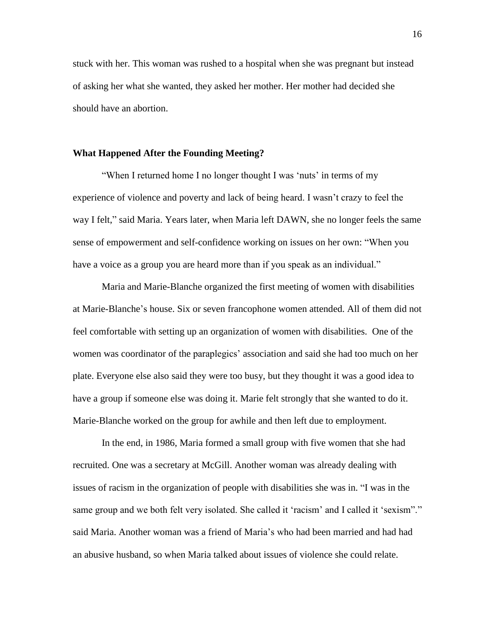stuck with her. This woman was rushed to a hospital when she was pregnant but instead of asking her what she wanted, they asked her mother. Her mother had decided she should have an abortion.

#### **What Happened After the Founding Meeting?**

"When I returned home I no longer thought I was 'nuts' in terms of my experience of violence and poverty and lack of being heard. I wasn't crazy to feel the way I felt," said Maria. Years later, when Maria left DAWN, she no longer feels the same sense of empowerment and self-confidence working on issues on her own: "When you have a voice as a group you are heard more than if you speak as an individual."

Maria and Marie-Blanche organized the first meeting of women with disabilities at Marie-Blanche's house. Six or seven francophone women attended. All of them did not feel comfortable with setting up an organization of women with disabilities. One of the women was coordinator of the paraplegics' association and said she had too much on her plate. Everyone else also said they were too busy, but they thought it was a good idea to have a group if someone else was doing it. Marie felt strongly that she wanted to do it. Marie-Blanche worked on the group for awhile and then left due to employment.

In the end, in 1986, Maria formed a small group with five women that she had recruited. One was a secretary at McGill. Another woman was already dealing with issues of racism in the organization of people with disabilities she was in. "I was in the same group and we both felt very isolated. She called it 'racism' and I called it 'sexism''." said Maria. Another woman was a friend of Maria's who had been married and had had an abusive husband, so when Maria talked about issues of violence she could relate.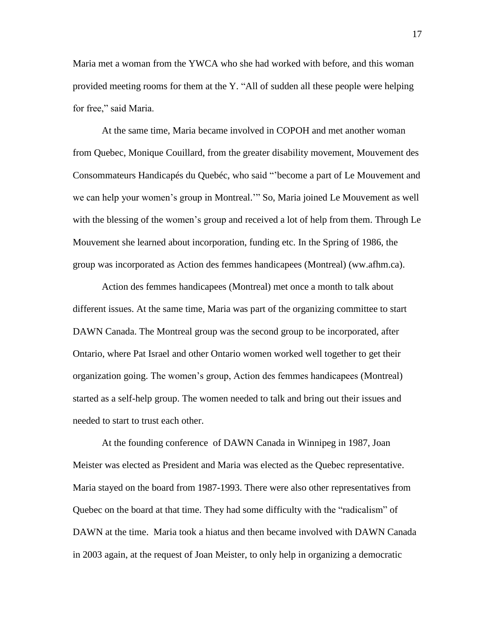Maria met a woman from the YWCA who she had worked with before, and this woman provided meeting rooms for them at the Y. "All of sudden all these people were helping for free," said Maria.

At the same time, Maria became involved in COPOH and met another woman from Quebec, Monique Couillard, from the greater disability movement, Mouvement des Consommateurs Handicapés du Quebéc, who said "'become a part of Le Mouvement and we can help your women's group in Montreal.'" So, Maria joined Le Mouvement as well with the blessing of the women's group and received a lot of help from them. Through Le Mouvement she learned about incorporation, funding etc. In the Spring of 1986, the group was incorporated as Action des femmes handicapees (Montreal) (ww.afhm.ca).

Action des femmes handicapees (Montreal) met once a month to talk about different issues. At the same time, Maria was part of the organizing committee to start DAWN Canada. The Montreal group was the second group to be incorporated, after Ontario, where Pat Israel and other Ontario women worked well together to get their organization going. The women's group, Action des femmes handicapees (Montreal) started as a self-help group. The women needed to talk and bring out their issues and needed to start to trust each other.

At the founding conference of DAWN Canada in Winnipeg in 1987, Joan Meister was elected as President and Maria was elected as the Quebec representative. Maria stayed on the board from 1987-1993. There were also other representatives from Quebec on the board at that time. They had some difficulty with the "radicalism" of DAWN at the time. Maria took a hiatus and then became involved with DAWN Canada in 2003 again, at the request of Joan Meister, to only help in organizing a democratic

17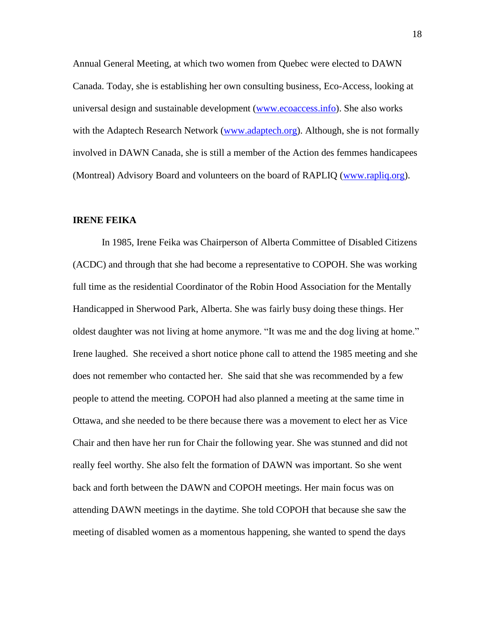Annual General Meeting, at which two women from Quebec were elected to DAWN Canada. Today, she is establishing her own consulting business, Eco-Access, looking at universal design and sustainable development [\(www.ecoaccess.info\)](http://www.ecoaccess.info/). She also works with the Adaptech Research Network [\(www.adaptech.org\)](http://www.adaptech.org/). Although, she is not formally involved in DAWN Canada, she is still a member of the Action des femmes handicapees (Montreal) Advisory Board and volunteers on the board of RAPLIQ [\(www.rapliq.org\)](http://www.rapliq.org/).

#### **IRENE FEIKA**

In 1985, Irene Feika was Chairperson of Alberta Committee of Disabled Citizens (ACDC) and through that she had become a representative to COPOH. She was working full time as the residential Coordinator of the Robin Hood Association for the Mentally Handicapped in Sherwood Park, Alberta. She was fairly busy doing these things. Her oldest daughter was not living at home anymore. "It was me and the dog living at home." Irene laughed. She received a short notice phone call to attend the 1985 meeting and she does not remember who contacted her. She said that she was recommended by a few people to attend the meeting. COPOH had also planned a meeting at the same time in Ottawa, and she needed to be there because there was a movement to elect her as Vice Chair and then have her run for Chair the following year. She was stunned and did not really feel worthy. She also felt the formation of DAWN was important. So she went back and forth between the DAWN and COPOH meetings. Her main focus was on attending DAWN meetings in the daytime. She told COPOH that because she saw the meeting of disabled women as a momentous happening, she wanted to spend the days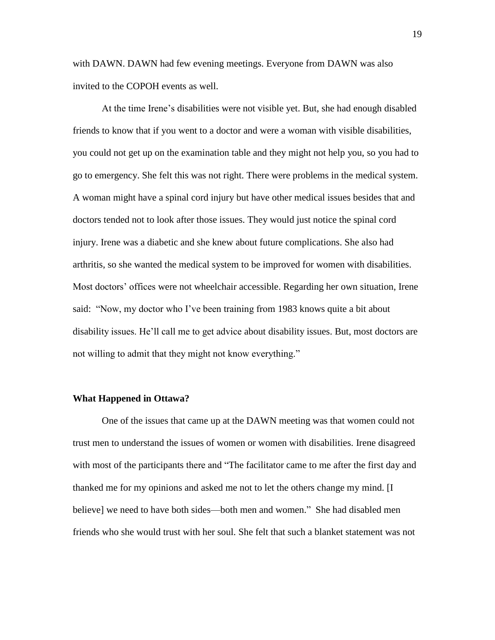with DAWN. DAWN had few evening meetings. Everyone from DAWN was also invited to the COPOH events as well.

At the time Irene's disabilities were not visible yet. But, she had enough disabled friends to know that if you went to a doctor and were a woman with visible disabilities, you could not get up on the examination table and they might not help you, so you had to go to emergency. She felt this was not right. There were problems in the medical system. A woman might have a spinal cord injury but have other medical issues besides that and doctors tended not to look after those issues. They would just notice the spinal cord injury. Irene was a diabetic and she knew about future complications. She also had arthritis, so she wanted the medical system to be improved for women with disabilities. Most doctors' offices were not wheelchair accessible. Regarding her own situation, Irene said: "Now, my doctor who I've been training from 1983 knows quite a bit about disability issues. He'll call me to get advice about disability issues. But, most doctors are not willing to admit that they might not know everything."

#### **What Happened in Ottawa?**

One of the issues that came up at the DAWN meeting was that women could not trust men to understand the issues of women or women with disabilities. Irene disagreed with most of the participants there and "The facilitator came to me after the first day and thanked me for my opinions and asked me not to let the others change my mind. [I believe] we need to have both sides—both men and women." She had disabled men friends who she would trust with her soul. She felt that such a blanket statement was not

19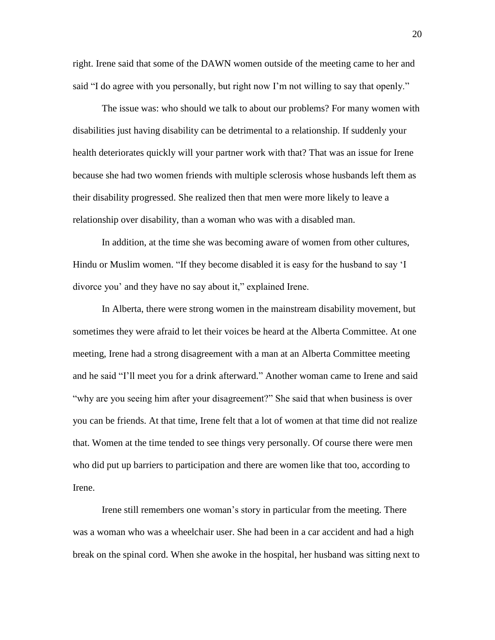right. Irene said that some of the DAWN women outside of the meeting came to her and said "I do agree with you personally, but right now I'm not willing to say that openly."

The issue was: who should we talk to about our problems? For many women with disabilities just having disability can be detrimental to a relationship. If suddenly your health deteriorates quickly will your partner work with that? That was an issue for Irene because she had two women friends with multiple sclerosis whose husbands left them as their disability progressed. She realized then that men were more likely to leave a relationship over disability, than a woman who was with a disabled man.

In addition, at the time she was becoming aware of women from other cultures, Hindu or Muslim women. "If they become disabled it is easy for the husband to say 'I divorce you' and they have no say about it," explained Irene.

In Alberta, there were strong women in the mainstream disability movement, but sometimes they were afraid to let their voices be heard at the Alberta Committee. At one meeting, Irene had a strong disagreement with a man at an Alberta Committee meeting and he said "I'll meet you for a drink afterward." Another woman came to Irene and said "why are you seeing him after your disagreement?" She said that when business is over you can be friends. At that time, Irene felt that a lot of women at that time did not realize that. Women at the time tended to see things very personally. Of course there were men who did put up barriers to participation and there are women like that too, according to Irene.

Irene still remembers one woman's story in particular from the meeting. There was a woman who was a wheelchair user. She had been in a car accident and had a high break on the spinal cord. When she awoke in the hospital, her husband was sitting next to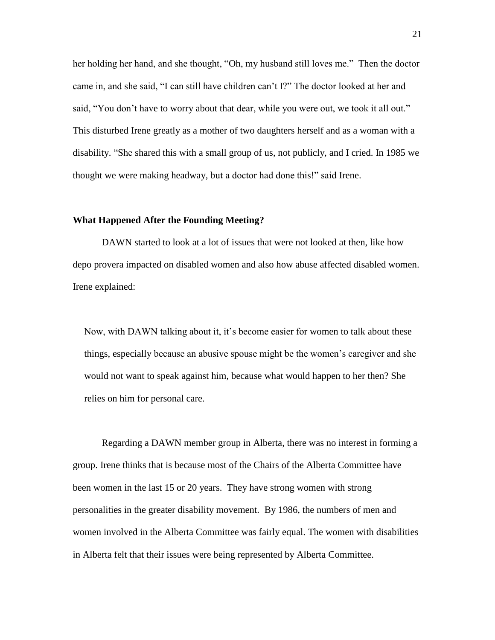her holding her hand, and she thought, "Oh, my husband still loves me." Then the doctor came in, and she said, "I can still have children can't I?" The doctor looked at her and said, "You don't have to worry about that dear, while you were out, we took it all out." This disturbed Irene greatly as a mother of two daughters herself and as a woman with a disability. "She shared this with a small group of us, not publicly, and I cried. In 1985 we thought we were making headway, but a doctor had done this!" said Irene.

## **What Happened After the Founding Meeting?**

DAWN started to look at a lot of issues that were not looked at then, like how depo provera impacted on disabled women and also how abuse affected disabled women. Irene explained:

Now, with DAWN talking about it, it's become easier for women to talk about these things, especially because an abusive spouse might be the women's caregiver and she would not want to speak against him, because what would happen to her then? She relies on him for personal care.

Regarding a DAWN member group in Alberta, there was no interest in forming a group. Irene thinks that is because most of the Chairs of the Alberta Committee have been women in the last 15 or 20 years. They have strong women with strong personalities in the greater disability movement. By 1986, the numbers of men and women involved in the Alberta Committee was fairly equal. The women with disabilities in Alberta felt that their issues were being represented by Alberta Committee.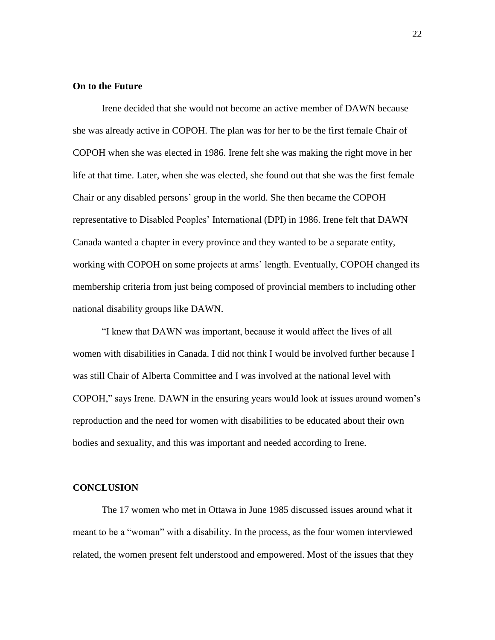#### **On to the Future**

Irene decided that she would not become an active member of DAWN because she was already active in COPOH. The plan was for her to be the first female Chair of COPOH when she was elected in 1986. Irene felt she was making the right move in her life at that time. Later, when she was elected, she found out that she was the first female Chair or any disabled persons' group in the world. She then became the COPOH representative to Disabled Peoples' International (DPI) in 1986. Irene felt that DAWN Canada wanted a chapter in every province and they wanted to be a separate entity, working with COPOH on some projects at arms' length. Eventually, COPOH changed its membership criteria from just being composed of provincial members to including other national disability groups like DAWN.

"I knew that DAWN was important, because it would affect the lives of all women with disabilities in Canada. I did not think I would be involved further because I was still Chair of Alberta Committee and I was involved at the national level with COPOH," says Irene. DAWN in the ensuring years would look at issues around women's reproduction and the need for women with disabilities to be educated about their own bodies and sexuality, and this was important and needed according to Irene.

#### **CONCLUSION**

The 17 women who met in Ottawa in June 1985 discussed issues around what it meant to be a "woman" with a disability. In the process, as the four women interviewed related, the women present felt understood and empowered. Most of the issues that they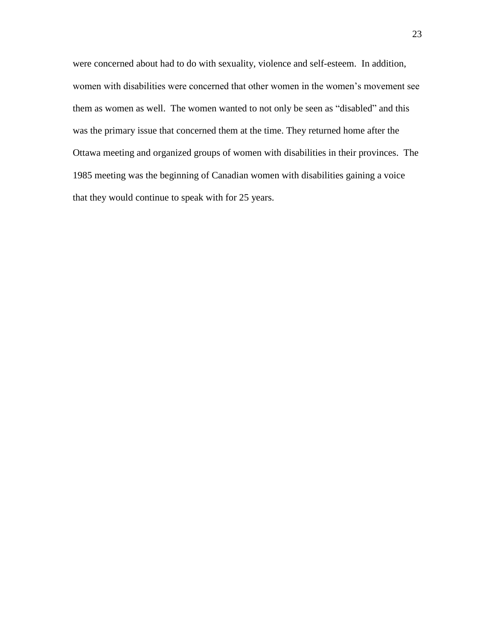were concerned about had to do with sexuality, violence and self-esteem. In addition, women with disabilities were concerned that other women in the women's movement see them as women as well. The women wanted to not only be seen as "disabled" and this was the primary issue that concerned them at the time. They returned home after the Ottawa meeting and organized groups of women with disabilities in their provinces. The 1985 meeting was the beginning of Canadian women with disabilities gaining a voice that they would continue to speak with for 25 years.